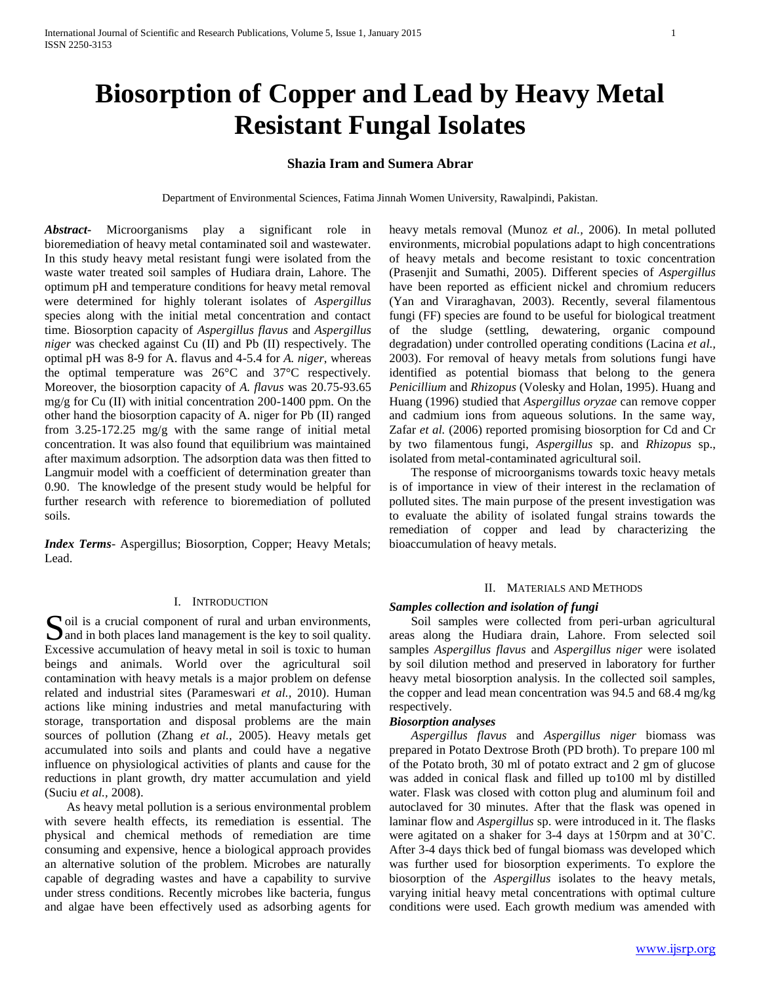# **Biosorption of Copper and Lead by Heavy Metal Resistant Fungal Isolates**

# **Shazia Iram and Sumera Abrar**

Department of Environmental Sciences, Fatima Jinnah Women University, Rawalpindi, Pakistan.

*Abstract***-** Microorganisms play a significant role in bioremediation of heavy metal contaminated soil and wastewater. In this study heavy metal resistant fungi were isolated from the waste water treated soil samples of Hudiara drain, Lahore. The optimum pH and temperature conditions for heavy metal removal were determined for highly tolerant isolates of *Aspergillus* species along with the initial metal concentration and contact time. Biosorption capacity of *Aspergillus flavus* and *Aspergillus niger* was checked against Cu (II) and Pb (II) respectively. The optimal pH was 8-9 for A. flavus and 4-5.4 for *A. niger*, whereas the optimal temperature was 26°C and 37°C respectively. Moreover, the biosorption capacity of *A. flavus* was 20.75-93.65 mg/g for Cu (II) with initial concentration 200-1400 ppm. On the other hand the biosorption capacity of A. niger for Pb (II) ranged from 3.25-172.25 mg/g with the same range of initial metal concentration. It was also found that equilibrium was maintained after maximum adsorption. The adsorption data was then fitted to Langmuir model with a coefficient of determination greater than 0.90. The knowledge of the present study would be helpful for further research with reference to bioremediation of polluted soils.

*Index Terms*- Aspergillus; Biosorption, Copper; Heavy Metals; Lead.

## I. INTRODUCTION

oil is a crucial component of rural and urban environments, **S** oil is a crucial component of rural and urban environments,<br>and in both places land management is the key to soil quality. Excessive accumulation of heavy metal in soil is toxic to human beings and animals. World over the agricultural soil contamination with heavy metals is a major problem on defense related and industrial sites (Parameswari *et al.,* 2010). Human actions like mining industries and metal manufacturing with storage, transportation and disposal problems are the main sources of pollution (Zhang *et al.,* 2005). Heavy metals get accumulated into soils and plants and could have a negative influence on physiological activities of plants and cause for the reductions in plant growth, dry matter accumulation and yield (Suciu *et al.,* 2008).

 As heavy metal pollution is a serious environmental problem with severe health effects, its remediation is essential. The physical and chemical methods of remediation are time consuming and expensive, hence a biological approach provides an alternative solution of the problem. Microbes are naturally capable of degrading wastes and have a capability to survive under stress conditions. Recently microbes like bacteria, fungus and algae have been effectively used as adsorbing agents for

heavy metals removal (Munoz *et al.,* 2006). In metal polluted environments, microbial populations adapt to high concentrations of heavy metals and become resistant to toxic concentration (Prasenjit and Sumathi, 2005). Different species of *Aspergillus* have been reported as efficient nickel and chromium reducers (Yan and Viraraghavan, 2003). Recently, several filamentous fungi (FF) species are found to be useful for biological treatment of the sludge (settling, dewatering, organic compound degradation) under controlled operating conditions (Lacina *et al.,* 2003). For removal of heavy metals from solutions fungi have identified as potential biomass that belong to the genera *Penicillium* and *Rhizopus* (Volesky and Holan, 1995). Huang and Huang (1996) studied that *Aspergillus oryzae* can remove copper and cadmium ions from aqueous solutions. In the same way, Zafar *et al.* (2006) reported promising biosorption for Cd and Cr by two filamentous fungi, *Aspergillus* sp. and *Rhizopus* sp., isolated from metal-contaminated agricultural soil.

 The response of microorganisms towards toxic heavy metals is of importance in view of their interest in the reclamation of polluted sites. The main purpose of the present investigation was to evaluate the ability of isolated fungal strains towards the remediation of copper and lead by characterizing the bioaccumulation of heavy metals.

#### II. MATERIALS AND METHODS

# *Samples collection and isolation of fungi*

 Soil samples were collected from peri-urban agricultural areas along the Hudiara drain, Lahore. From selected soil samples *Aspergillus flavus* and *Aspergillus niger* were isolated by soil dilution method and preserved in laboratory for further heavy metal biosorption analysis. In the collected soil samples, the copper and lead mean concentration was 94.5 and 68.4 mg/kg respectively.

## *Biosorption analyses*

 *Aspergillus flavus* and *Aspergillus niger* biomass was prepared in Potato Dextrose Broth (PD broth). To prepare 100 ml of the Potato broth, 30 ml of potato extract and 2 gm of glucose was added in conical flask and filled up to100 ml by distilled water. Flask was closed with cotton plug and aluminum foil and autoclaved for 30 minutes. After that the flask was opened in laminar flow and *Aspergillus* sp. were introduced in it. The flasks were agitated on a shaker for 3-4 days at 150rpm and at 30˚C. After 3-4 days thick bed of fungal biomass was developed which was further used for biosorption experiments. To explore the biosorption of the *Aspergillus* isolates to the heavy metals, varying initial heavy metal concentrations with optimal culture conditions were used. Each growth medium was amended with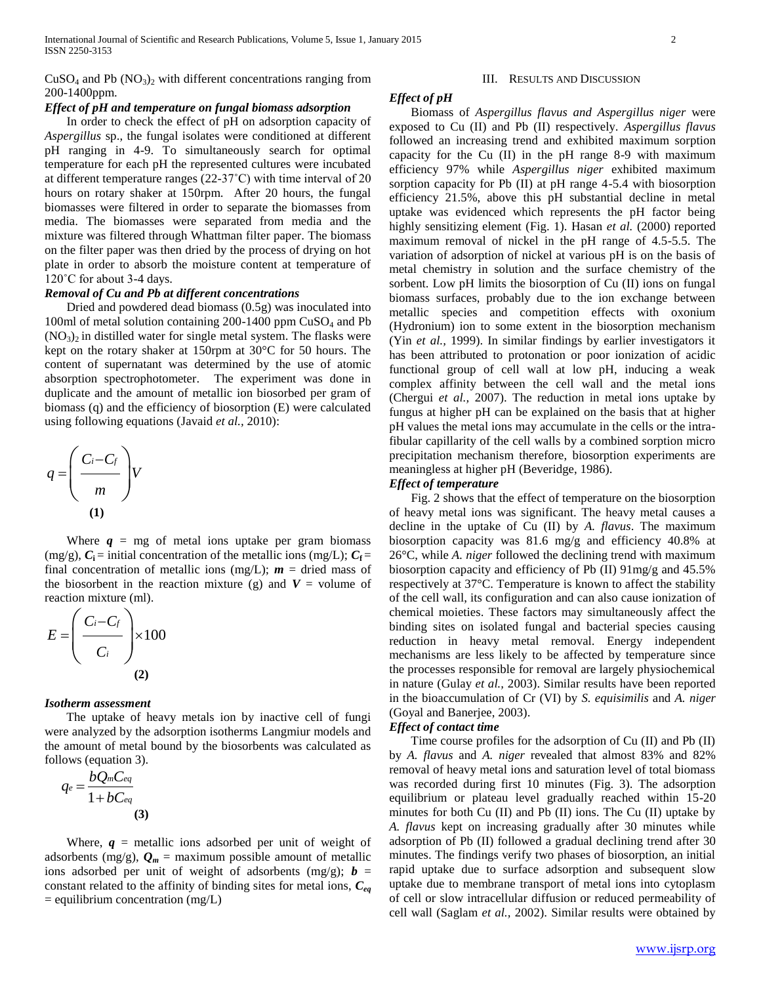## $CuSO<sub>4</sub>$  and Pb  $(NO<sub>3</sub>)<sub>2</sub>$  with different concentrations ranging from 200-1400ppm.

## *Effect of pH and temperature on fungal biomass adsorption*

 In order to check the effect of pH on adsorption capacity of *Aspergillus* sp., the fungal isolates were conditioned at different pH ranging in 4-9. To simultaneously search for optimal temperature for each pH the represented cultures were incubated at different temperature ranges (22-37˚C) with time interval of 20 hours on rotary shaker at 150rpm. After 20 hours, the fungal biomasses were filtered in order to separate the biomasses from media. The biomasses were separated from media and the mixture was filtered through Whattman filter paper. The biomass on the filter paper was then dried by the process of drying on hot plate in order to absorb the moisture content at temperature of 120°C for about 3-4 days.

# *Removal of Cu and Pb at different concentrations*

 Dried and powdered dead biomass (0.5g) was inoculated into 100ml of metal solution containing  $200-1400$  ppm  $CuSO<sub>4</sub>$  and Pb  $(NO<sub>3</sub>)<sub>2</sub>$  in distilled water for single metal system. The flasks were kept on the rotary shaker at 150rpm at 30°C for 50 hours. The content of supernatant was determined by the use of atomic absorption spectrophotometer. The experiment was done in duplicate and the amount of metallic ion biosorbed per gram of biomass (q) and the efficiency of biosorption (E) were calculated using following equations (Javaid *et al.,* 2010):

$$
q = \left(\frac{C_i - C_f}{m}\right) V
$$
  
(1)

Where  $q = mg$  of metal ions uptake per gram biomass (mg/g),  $C_i$  = initial concentration of the metallic ions (mg/L);  $C_f$  = final concentration of metallic ions (mg/L);  $m =$  dried mass of the biosorbent in the reaction mixture (g) and  $V =$  volume of reaction mixture (ml).

$$
E = \left(\frac{C_i - C_f}{C_i}\right) \times 100
$$
\n(2)

#### *Isotherm assessment*

 The uptake of heavy metals ion by inactive cell of fungi were analyzed by the adsorption isotherms Langmiur models and the amount of metal bound by the biosorbents was calculated as follows (equation 3).

$$
q_e = \frac{bQ_mC_{eq}}{1 + bC_{eq}}
$$
\n(3)

Where,  $q$  = metallic ions adsorbed per unit of weight of adsorbents (mg/g),  $Q_m$  = maximum possible amount of metallic ions adsorbed per unit of weight of adsorbents (mg/g);  $\mathbf{b} =$ constant related to the affinity of binding sites for metal ions, *Ceq*  $=$  equilibrium concentration (mg/L)

#### III. RESULTS AND DISCUSSION

#### *Effect of pH*

 Biomass of *Aspergillus flavus and Aspergillus niger* were exposed to Cu (II) and Pb (II) respectively. *Aspergillus flavus* followed an increasing trend and exhibited maximum sorption capacity for the Cu (II) in the pH range 8-9 with maximum efficiency 97% while *Aspergillus niger* exhibited maximum sorption capacity for Pb (II) at pH range 4-5.4 with biosorption efficiency 21.5%, above this pH substantial decline in metal uptake was evidenced which represents the pH factor being highly sensitizing element (Fig. 1). Hasan *et al.* (2000) reported maximum removal of nickel in the pH range of 4.5-5.5. The variation of adsorption of nickel at various pH is on the basis of metal chemistry in solution and the surface chemistry of the sorbent. Low pH limits the biosorption of Cu (II) ions on fungal biomass surfaces, probably due to the ion exchange between metallic species and competition effects with oxonium (Hydronium) ion to some extent in the biosorption mechanism (Yin *et al.,* 1999). In similar findings by earlier investigators it has been attributed to protonation or poor ionization of acidic functional group of cell wall at low pH, inducing a weak complex affinity between the cell wall and the metal ions (Chergui *et al.,* 2007). The reduction in metal ions uptake by fungus at higher pH can be explained on the basis that at higher pH values the metal ions may accumulate in the cells or the intrafibular capillarity of the cell walls by a combined sorption micro precipitation mechanism therefore, biosorption experiments are meaningless at higher pH (Beveridge, 1986).

## *Effect of temperature*

 Fig. 2 shows that the effect of temperature on the biosorption of heavy metal ions was significant. The heavy metal causes a decline in the uptake of Cu (II) by *A. flavus*. The maximum biosorption capacity was 81.6 mg/g and efficiency 40.8% at 26°C, while *A. niger* followed the declining trend with maximum biosorption capacity and efficiency of Pb (II) 91mg/g and 45.5% respectively at 37°C. Temperature is known to affect the stability of the cell wall, its configuration and can also cause ionization of chemical moieties. These factors may simultaneously affect the binding sites on isolated fungal and bacterial species causing reduction in heavy metal removal. Energy independent mechanisms are less likely to be affected by temperature since the processes responsible for removal are largely physiochemical in nature (Gulay *et al.,* 2003). Similar results have been reported in the bioaccumulation of Cr (VI) by *S. equisimilis* and *A. niger* (Goyal and Banerjee, 2003).

#### *Effect of contact time*

 Time course profiles for the adsorption of Cu (II) and Pb (II) by *A. flavus* and *A. niger* revealed that almost 83% and 82% removal of heavy metal ions and saturation level of total biomass was recorded during first 10 minutes (Fig. 3). The adsorption equilibrium or plateau level gradually reached within 15-20 minutes for both Cu (II) and Pb (II) ions. The Cu (II) uptake by *A. flavus* kept on increasing gradually after 30 minutes while adsorption of Pb (II) followed a gradual declining trend after 30 minutes. The findings verify two phases of biosorption, an initial rapid uptake due to surface adsorption and subsequent slow uptake due to membrane transport of metal ions into cytoplasm of cell or slow intracellular diffusion or reduced permeability of cell wall (Saglam *et al.,* 2002). Similar results were obtained by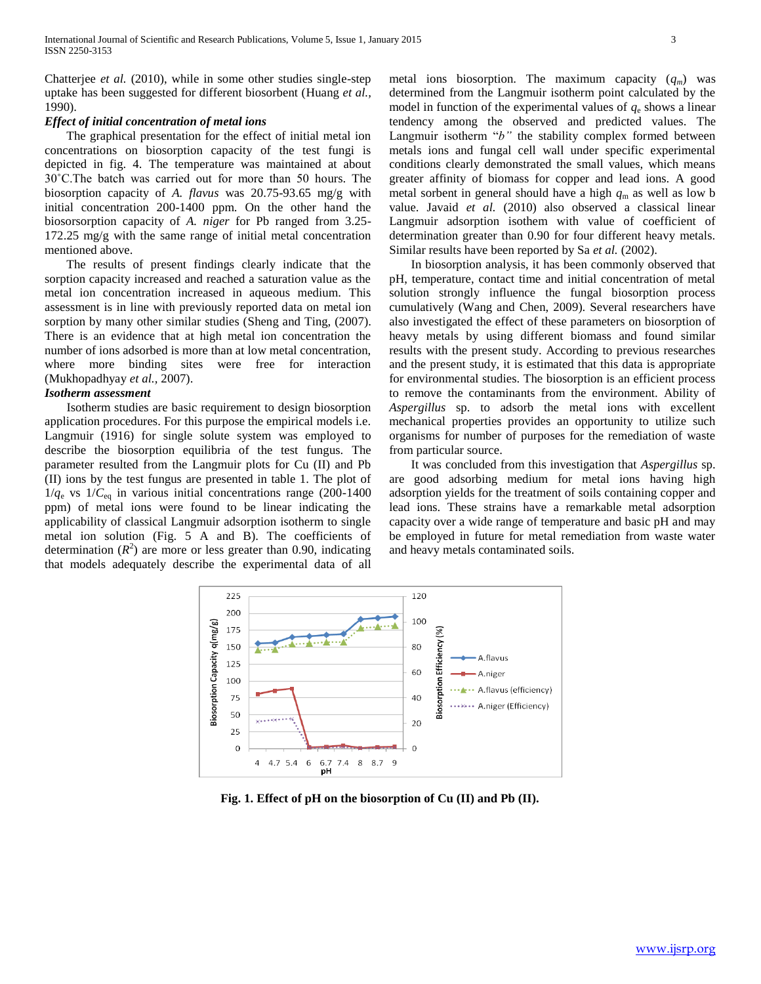Chatterjee *et al.* (2010), while in some other studies single-step uptake has been suggested for different biosorbent (Huang *et al.,* 1990).

#### *Effect of initial concentration of metal ions*

 The graphical presentation for the effect of initial metal ion concentrations on biosorption capacity of the test fungi is depicted in fig. 4. The temperature was maintained at about 30˚C.The batch was carried out for more than 50 hours. The biosorption capacity of *A. flavus* was 20.75-93.65 mg/g with initial concentration 200-1400 ppm. On the other hand the biosorsorption capacity of *A. niger* for Pb ranged from 3.25- 172.25 mg/g with the same range of initial metal concentration mentioned above.

 The results of present findings clearly indicate that the sorption capacity increased and reached a saturation value as the metal ion concentration increased in aqueous medium. This assessment is in line with previously reported data on metal ion sorption by many other similar studies (Sheng and Ting, (2007). There is an evidence that at high metal ion concentration the number of ions adsorbed is more than at low metal concentration, where more binding sites were free for interaction (Mukhopadhyay *et al.,* 2007).

#### *Isotherm assessment*

 Isotherm studies are basic requirement to design biosorption application procedures. For this purpose the empirical models i.e. Langmuir (1916) for single solute system was employed to describe the biosorption equilibria of the test fungus. The parameter resulted from the Langmuir plots for Cu (II) and Pb (II) ions by the test fungus are presented in table 1. The plot of  $1/q_e$  vs  $1/C_{eq}$  in various initial concentrations range (200-1400) ppm) of metal ions were found to be linear indicating the applicability of classical Langmuir adsorption isotherm to single metal ion solution (Fig. 5 A and B). The coefficients of determination  $(R^2)$  are more or less greater than 0.90, indicating that models adequately describe the experimental data of all

metal ions biosorption. The maximum capacity (*qm*) was determined from the Langmuir isotherm point calculated by the model in function of the experimental values of  $q_e$  shows a linear tendency among the observed and predicted values. The Langmuir isotherm "b" the stability complex formed between metals ions and fungal cell wall under specific experimental conditions clearly demonstrated the small values, which means greater affinity of biomass for copper and lead ions. A good metal sorbent in general should have a high  $q_m$  as well as low b value. Javaid *et al.* (2010) also observed a classical linear Langmuir adsorption isothem with value of coefficient of determination greater than 0.90 for four different heavy metals. Similar results have been reported by Sa *et al.* (2002).

 In biosorption analysis, it has been commonly observed that pH, temperature, contact time and initial concentration of metal solution strongly influence the fungal biosorption process cumulatively (Wang and Chen, 2009). Several researchers have also investigated the effect of these parameters on biosorption of heavy metals by using different biomass and found similar results with the present study. According to previous researches and the present study, it is estimated that this data is appropriate for environmental studies. The biosorption is an efficient process to remove the contaminants from the environment. Ability of *Aspergillus* sp. to adsorb the metal ions with excellent mechanical properties provides an opportunity to utilize such organisms for number of purposes for the remediation of waste from particular source.

 It was concluded from this investigation that *Aspergillus* sp. are good adsorbing medium for metal ions having high adsorption yields for the treatment of soils containing copper and lead ions. These strains have a remarkable metal adsorption capacity over a wide range of temperature and basic pH and may be employed in future for metal remediation from waste water and heavy metals contaminated soils.



**Fig. 1. Effect of pH on the biosorption of Cu (II) and Pb (II).**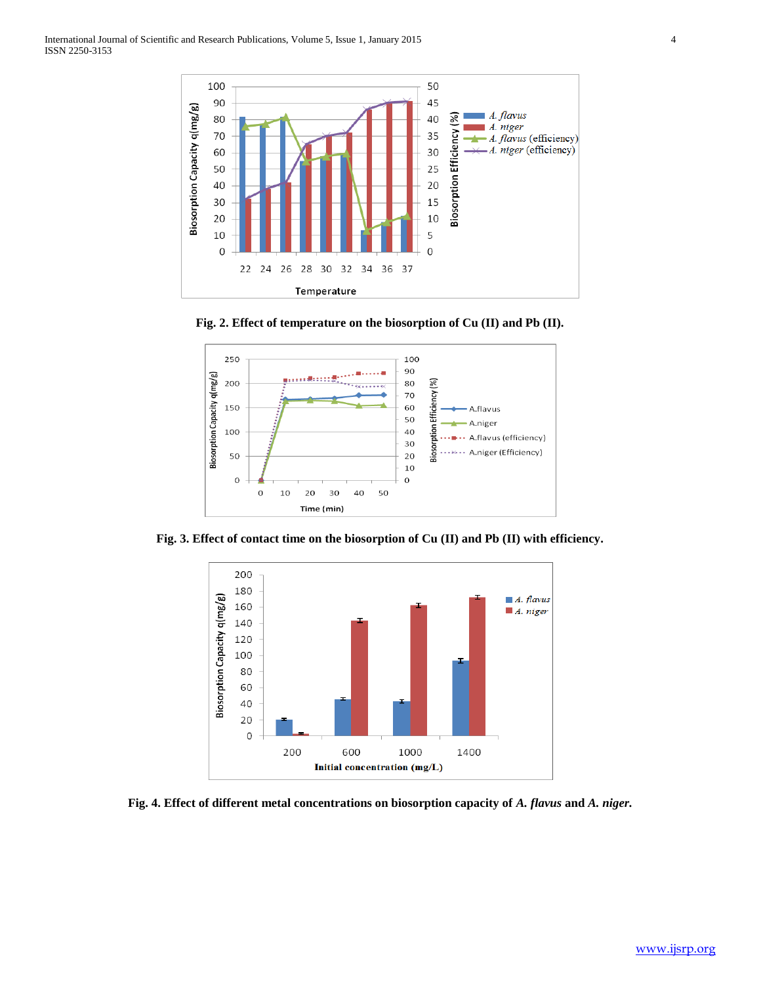





**Fig. 3. Effect of contact time on the biosorption of Cu (II) and Pb (II) with efficiency.**



**Fig. 4. Effect of different metal concentrations on biosorption capacity of** *A. flavus* **and** *A. niger.*